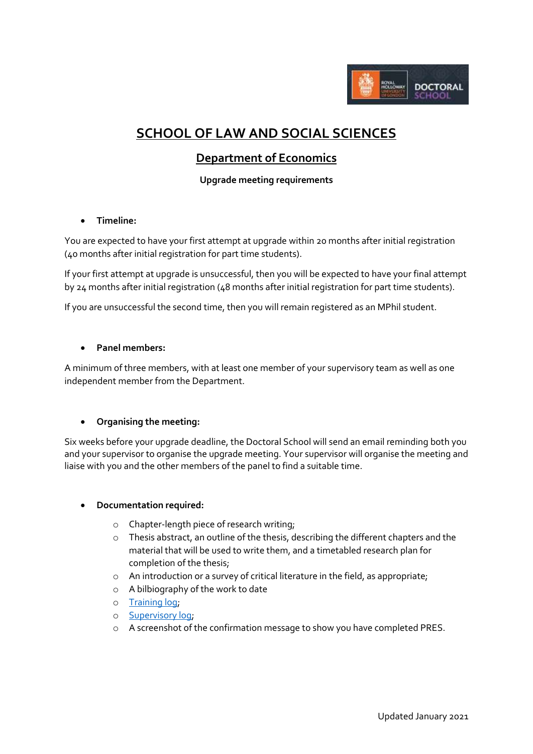

# **SCHOOL OF LAW AND SOCIAL SCIENCES**

# **Department of Economics**

**Upgrade meeting requirements**

#### **Timeline:**

You are expected to have your first attempt at upgrade within 20 months after initial registration (40 months after initial registration for part time students).

If your first attempt at upgrade is unsuccessful, then you will be expected to have your final attempt by 24 months after initial registration (48 months after initial registration for part time students).

If you are unsuccessful the second time, then you will remain registered as an MPhil student.

# **Panel members:**

A minimum of three members, with at least one member of your supervisory team as well as one independent member from the Department.

#### **Organising the meeting:**

Six weeks before your upgrade deadline, the Doctoral School will send an email reminding both you and your supervisor to organise the upgrade meeting. Your supervisor will organise the meeting and liaise with you and the other members of the panel to find a suitable time.

#### **Documentation required:**

- o Chapter-length piece of research writing;
- o Thesis abstract, an outline of the thesis, describing the different chapters and the material that will be used to write them, and a timetabled research plan for completion of the thesis;
- o An introduction or a survey of critical literature in the field, as appropriate;
- o A bilbiography of the work to date
- o [Training log;](http://preview.rhul.ac.uk/doctoral-school/assets/docs/doc/new-research-log.docx)
- o [Supervisory log;](http://preview.rhul.ac.uk/doctoral-school/assets/docs/doc/pgr-record-of-supervisor-contacts.docx)
- o A screenshot of the confirmation message to show you have completed PRES.